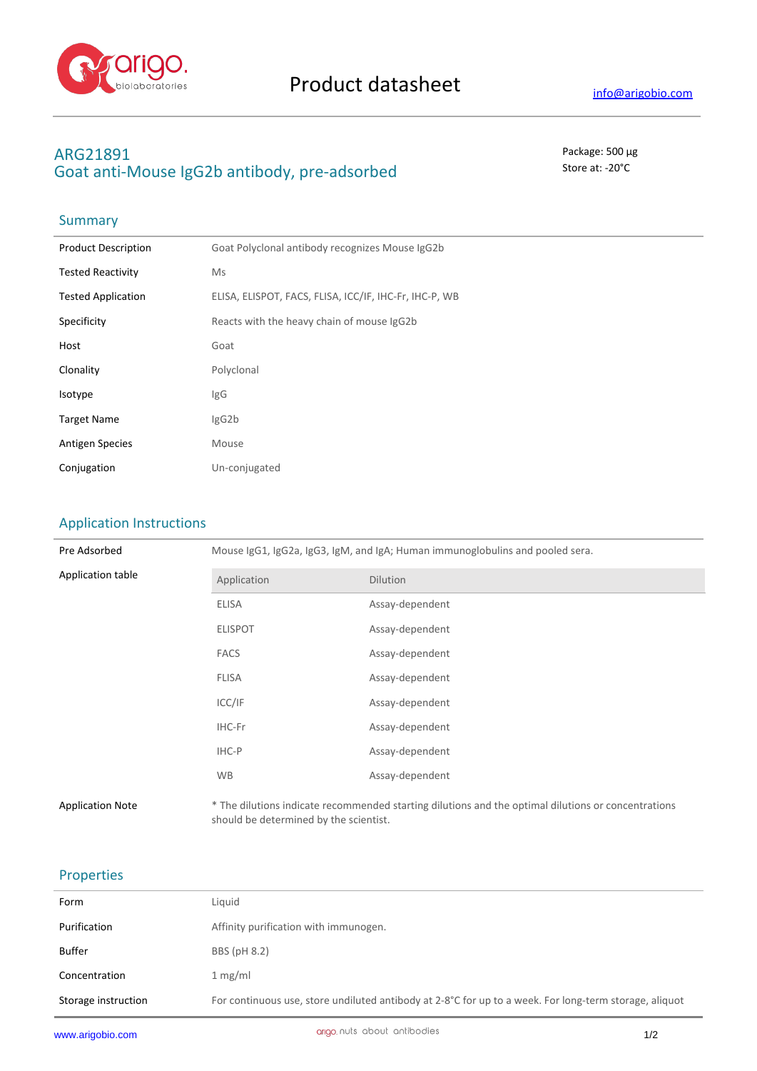

# **ARG21891** Package: 500 μg Goat anti-Mouse IgG2b antibody, pre-adsorbed stational state at: -20°C

### **Summary**

| <b>Product Description</b> | Goat Polyclonal antibody recognizes Mouse IgG2b        |
|----------------------------|--------------------------------------------------------|
| <b>Tested Reactivity</b>   | Ms                                                     |
| <b>Tested Application</b>  | ELISA, ELISPOT, FACS, FLISA, ICC/IF, IHC-Fr, IHC-P, WB |
| Specificity                | Reacts with the heavy chain of mouse IgG2b             |
| Host                       | Goat                                                   |
| Clonality                  | Polyclonal                                             |
| Isotype                    | lgG                                                    |
| <b>Target Name</b>         | lgG2b                                                  |
| <b>Antigen Species</b>     | Mouse                                                  |
| Conjugation                | Un-conjugated                                          |

## Application Instructions

| Pre Adsorbed            | Mouse IgG1, IgG2a, IgG3, IgM, and IgA; Human immunoglobulins and pooled sera.                                                                 |                 |  |
|-------------------------|-----------------------------------------------------------------------------------------------------------------------------------------------|-----------------|--|
| Application table       | Application                                                                                                                                   | Dilution        |  |
|                         | <b>ELISA</b>                                                                                                                                  | Assay-dependent |  |
|                         | <b>ELISPOT</b>                                                                                                                                | Assay-dependent |  |
|                         | <b>FACS</b>                                                                                                                                   | Assay-dependent |  |
|                         | <b>FLISA</b>                                                                                                                                  | Assay-dependent |  |
|                         | ICC/IF                                                                                                                                        | Assay-dependent |  |
|                         | IHC-Fr                                                                                                                                        | Assay-dependent |  |
|                         | IHC-P                                                                                                                                         | Assay-dependent |  |
|                         | <b>WB</b>                                                                                                                                     | Assay-dependent |  |
| <b>Application Note</b> | * The dilutions indicate recommended starting dilutions and the optimal dilutions or concentrations<br>should be determined by the scientist. |                 |  |

## Properties

| Liguid                                                                                                 |
|--------------------------------------------------------------------------------------------------------|
| Affinity purification with immunogen.                                                                  |
| BBS (pH 8.2)                                                                                           |
| 1 mg/ml                                                                                                |
| For continuous use, store undiluted antibody at 2-8°C for up to a week. For long-term storage, aliquot |
|                                                                                                        |